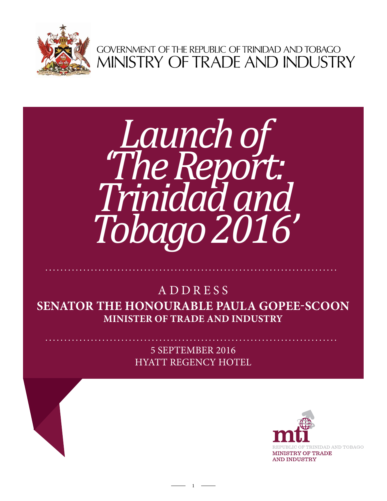

GOVERNMENT OF THE REPUBLIC OF TRINIDAD AND TOBAGO<br>MINISTRY OF TRADE AND INDUSTRY



## **Senator the Honourable Paula Gopee-Scoon Minister of Trade and Industry** A D D R E S S

5 september 2016 HYATT REGENCY HOTEL

1

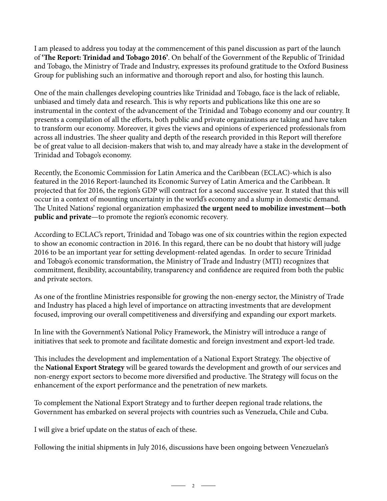I am pleased to address you today at the commencement of this panel discussion as part of the launch of **'The Report: Trinidad and Tobago 2016'**. On behalf of the Government of the Republic of Trinidad and Tobago, the Ministry of Trade and Industry, expresses its profound gratitude to the Oxford Business Group for publishing such an informative and thorough report and also, for hosting this launch.

One of the main challenges developing countries like Trinidad and Tobago, face is the lack of reliable, unbiased and timely data and research. This is why reports and publications like this one are so instrumental in the context of the advancement of the Trinidad and Tobago economy and our country. It presents a compilation of all the efforts, both public and private organizations are taking and have taken to transform our economy. Moreover, it gives the views and opinions of experienced professionals from across all industries. The sheer quality and depth of the research provided in this Report will therefore be of great value to all decision-makers that wish to, and may already have a stake in the development of Trinidad and Tobago's economy.

Recently, the Economic Commission for Latin America and the Caribbean (ECLAC)-which is also featured in the 2016 Report-launched its Economic Survey of Latin America and the Caribbean. It projected that for 2016, the region's GDP will contract for a second successive year. It stated that this will occur in a context of mounting uncertainty in the world's economy and a slump in domestic demand. The United Nations' regional organization emphasized **the urgent need to mobilize investment—both public and private**—to promote the region's economic recovery.

According to ECLAC's report, Trinidad and Tobago was one of six countries within the region expected to show an economic contraction in 2016. In this regard, there can be no doubt that history will judge 2016 to be an important year for setting development-related agendas. In order to secure Trinidad and Tobago's economic transformation, the Ministry of Trade and Industry (MTI) recognizes that commitment, flexibility, accountability, transparency and confidence are required from both the public and private sectors.

As one of the frontline Ministries responsible for growing the non-energy sector, the Ministry of Trade and Industry has placed a high level of importance on attracting investments that are development focused, improving our overall competitiveness and diversifying and expanding our export markets.

In line with the Government's National Policy Framework, the Ministry will introduce a range of initiatives that seek to promote and facilitate domestic and foreign investment and export-led trade.

This includes the development and implementation of a National Export Strategy. The objective of the **National Export Strategy** will be geared towards the development and growth of our services and non-energy export sectors to become more diversified and productive. The Strategy will focus on the enhancement of the export performance and the penetration of new markets.

To complement the National Export Strategy and to further deepen regional trade relations, the Government has embarked on several projects with countries such as Venezuela, Chile and Cuba.

I will give a brief update on the status of each of these.

Following the initial shipments in July 2016, discussions have been ongoing between Venezuelan's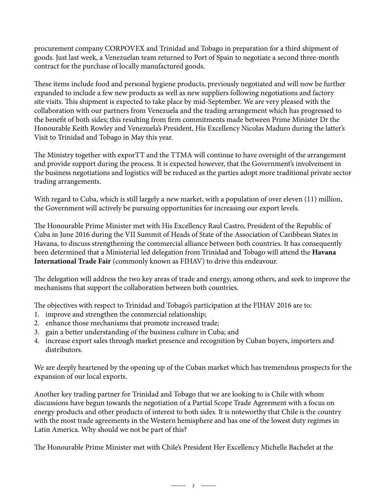procurement company CORPOVEX and Trinidad and Tobago in preparation for a third shipment of goods. Just last week, a Venezuelan team returned to Port of Spain to negotiate a second three-month contract for the purchase of locally manufactured goods.

These items include food and personal hygiene products, previously negotiated and will now be further expanded to include a few new products as well as new suppliers following negotiations and factory site visits. This shipment is expected to take place by mid-September. We are very pleased with the collaboration with our partners from Venezuela and the trading arrangement which has progressed to the benefit of both sides; this resulting from firm commitments made between Prime Minister Dr the Honourable Keith Rowley and Venezuela's President, His Excellency Nicolas Maduro during the latter's Visit to Trinidad and Tobago in May this year.

The Ministry together with exporTT and the TTMA will continue to have oversight of the arrangement and provide support during the process. It is expected however, that the Government's involvement in the business negotiations and logistics will be reduced as the parties adopt more traditional private sector trading arrangements.

With regard to Cuba, which is still largely a new market, with a population of over eleven (11) million, the Government will actively be pursuing opportunities for increasing our export levels.

The Honourable Prime Minister met with His Excellency Raul Castro, President of the Republic of Cuba in June 2016 during the VII Summit of Heads of State of the Association of Caribbean States in Havana, to discuss strengthening the commercial alliance between both countries. It has consequently been determined that a Ministerial led delegation from Trinidad and Tobago will attend the **Havana International Trade Fair** (commonly known as FIHAV) to drive this endeavour.

The delegation will address the two key areas of trade and energy, among others, and seek to improve the mechanisms that support the collaboration between both countries.

The objectives with respect to Trinidad and Tobago's participation at the FIHAV 2016 are to:

- 1. improve and strengthen the commercial relationship;
- 2. enhance those mechanisms that promote increased trade;
- 3. gain a better understanding of the business culture in Cuba; and
- 4. increase export sales through market presence and recognition by Cuban buyers, importers and distributors.

We are deeply heartened by the opening up of the Cuban market which has tremendous prospects for the expansion of our local exports.

Another key trading partner for Trinidad and Tobago that we are looking to is Chile with whom discussions have begun towards the negotiation of a Partial Scope Trade Agreement with a focus on energy products and other products of interest to both sides. It is noteworthy that Chile is the country with the most trade agreements in the Western hemisphere and has one of the lowest duty regimes in Latin America. Why should we not be part of this?

The Honourable Prime Minister met with Chile's President Her Excellency Michelle Bachelet at the

 $\overline{\phantom{1}}$  3  $\overline{\phantom{1}}$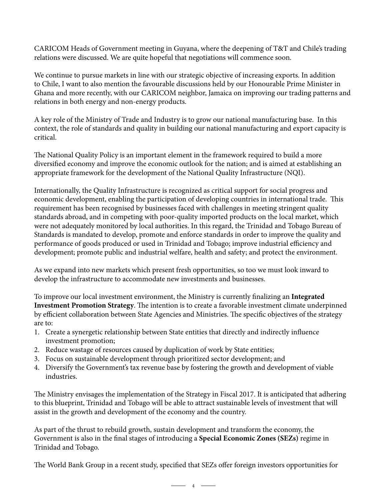CARICOM Heads of Government meeting in Guyana, where the deepening of T&T and Chile's trading relations were discussed. We are quite hopeful that negotiations will commence soon.

We continue to pursue markets in line with our strategic objective of increasing exports. In addition to Chile, I want to also mention the favourable discussions held by our Honourable Prime Minister in Ghana and more recently, with our CARICOM neighbor, Jamaica on improving our trading patterns and relations in both energy and non-energy products.

A key role of the Ministry of Trade and Industry is to grow our national manufacturing base. In this context, the role of standards and quality in building our national manufacturing and export capacity is critical.

The National Quality Policy is an important element in the framework required to build a more diversified economy and improve the economic outlook for the nation; and is aimed at establishing an appropriate framework for the development of the National Quality Infrastructure (NQI).

Internationally, the Quality Infrastructure is recognized as critical support for social progress and economic development, enabling the participation of developing countries in international trade. This requirement has been recognised by businesses faced with challenges in meeting stringent quality standards abroad, and in competing with poor-quality imported products on the local market, which were not adequately monitored by local authorities. In this regard, the Trinidad and Tobago Bureau of Standards is mandated to develop, promote and enforce standards in order to improve the quality and performance of goods produced or used in Trinidad and Tobago; improve industrial efficiency and development; promote public and industrial welfare, health and safety; and protect the environment.

As we expand into new markets which present fresh opportunities, so too we must look inward to develop the infrastructure to accommodate new investments and businesses.

To improve our local investment environment, the Ministry is currently finalizing an **Integrated Investment Promotion Strategy**. The intention is to create a favorable investment climate underpinned by efficient collaboration between State Agencies and Ministries. The specific objectives of the strategy are to:

- 1. Create a synergetic relationship between State entities that directly and indirectly influence investment promotion;
- 2. Reduce wastage of resources caused by duplication of work by State entities;
- 3. Focus on sustainable development through prioritized sector development; and
- 4. Diversify the Government's tax revenue base by fostering the growth and development of viable industries.

The Ministry envisages the implementation of the Strategy in Fiscal 2017. It is anticipated that adhering to this blueprint, Trinidad and Tobago will be able to attract sustainable levels of investment that will assist in the growth and development of the economy and the country.

As part of the thrust to rebuild growth, sustain development and transform the economy, the Government is also in the final stages of introducing a **Special Economic Zones (SEZs)** regime in Trinidad and Tobago.

The World Bank Group in a recent study, specified that SEZs offer foreign investors opportunities for

 $-4-$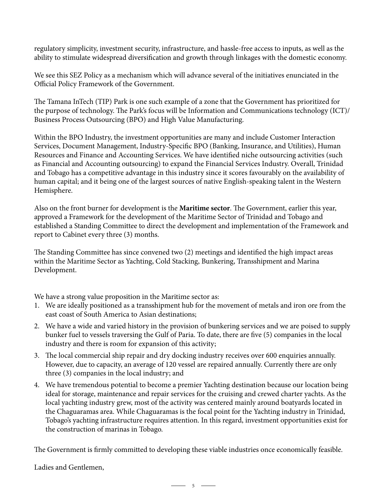regulatory simplicity, investment security, infrastructure, and hassle-free access to inputs, as well as the ability to stimulate widespread diversification and growth through linkages with the domestic economy.

We see this SEZ Policy as a mechanism which will advance several of the initiatives enunciated in the Official Policy Framework of the Government.

The Tamana InTech (TIP) Park is one such example of a zone that the Government has prioritized for the purpose of technology. The Park's focus will be Information and Communications technology (ICT)/ Business Process Outsourcing (BPO) and High Value Manufacturing.

Within the BPO Industry, the investment opportunities are many and include Customer Interaction Services, Document Management, Industry-Specific BPO (Banking, Insurance, and Utilities), Human Resources and Finance and Accounting Services. We have identified niche outsourcing activities (such as Financial and Accounting outsourcing) to expand the Financial Services Industry. Overall, Trinidad and Tobago has a competitive advantage in this industry since it scores favourably on the availability of human capital; and it being one of the largest sources of native English-speaking talent in the Western Hemisphere.

Also on the front burner for development is the **Maritime sector**. The Government, earlier this year, approved a Framework for the development of the Maritime Sector of Trinidad and Tobago and established a Standing Committee to direct the development and implementation of the Framework and report to Cabinet every three (3) months.

The Standing Committee has since convened two (2) meetings and identified the high impact areas within the Maritime Sector as Yachting, Cold Stacking, Bunkering, Transshipment and Marina Development.

We have a strong value proposition in the Maritime sector as:

- 1. We are ideally positioned as a transshipment hub for the movement of metals and iron ore from the east coast of South America to Asian destinations;
- 2. We have a wide and varied history in the provision of bunkering services and we are poised to supply bunker fuel to vessels traversing the Gulf of Paria. To date, there are five (5) companies in the local industry and there is room for expansion of this activity;
- 3. The local commercial ship repair and dry docking industry receives over 600 enquiries annually. However, due to capacity, an average of 120 vessel are repaired annually. Currently there are only three (3) companies in the local industry; and
- 4. We have tremendous potential to become a premier Yachting destination because our location being ideal for storage, maintenance and repair services for the cruising and crewed charter yachts. As the local yachting industry grew, most of the activity was centered mainly around boatyards located in the Chaguaramas area. While Chaguaramas is the focal point for the Yachting industry in Trinidad, Tobago's yachting infrastructure requires attention. In this regard, investment opportunities exist for the construction of marinas in Tobago.

The Government is firmly committed to developing these viable industries once economically feasible.

 $\overline{\phantom{1}}$  5  $\overline{\phantom{1}}$ 

Ladies and Gentlemen,